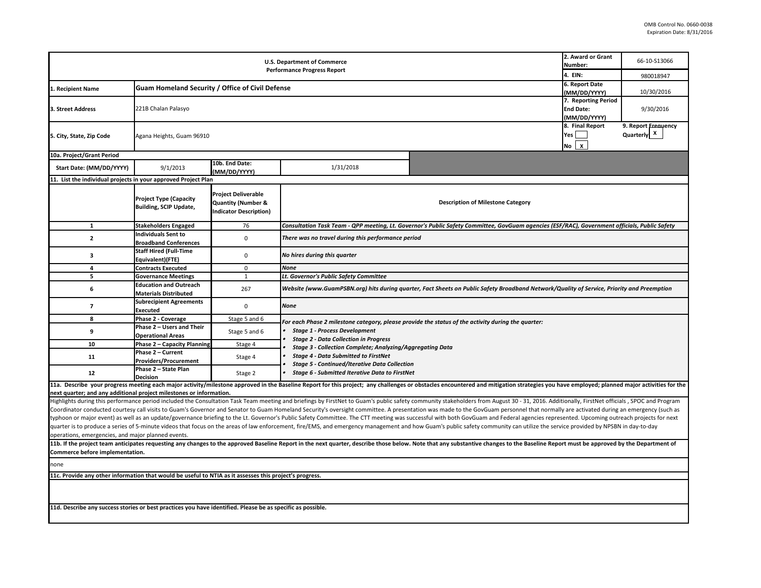|                                                                                                             | 2. Award or Grant<br>Number:<br>4. EIN:                       | 66-10-S13066<br>980018947                                                                    |                                                                                                                                            |                                                                                                                                                                                                                                                                                                                                                                                                                                                                                                                                                                                                                                                                                                   |  |  |  |  |  |
|-------------------------------------------------------------------------------------------------------------|---------------------------------------------------------------|----------------------------------------------------------------------------------------------|--------------------------------------------------------------------------------------------------------------------------------------------|---------------------------------------------------------------------------------------------------------------------------------------------------------------------------------------------------------------------------------------------------------------------------------------------------------------------------------------------------------------------------------------------------------------------------------------------------------------------------------------------------------------------------------------------------------------------------------------------------------------------------------------------------------------------------------------------------|--|--|--|--|--|
| 1. Recipient Name                                                                                           | <b>Guam Homeland Security / Office of Civil Defense</b>       | 6. Report Date<br>(MM/DD/YYYY)                                                               | 10/30/2016                                                                                                                                 |                                                                                                                                                                                                                                                                                                                                                                                                                                                                                                                                                                                                                                                                                                   |  |  |  |  |  |
| 3. Street Address                                                                                           | 221B Chalan Palasyo                                           | 7. Reporting Period<br><b>End Date:</b><br>(MM/DD/YYYY)                                      | 9/30/2016                                                                                                                                  |                                                                                                                                                                                                                                                                                                                                                                                                                                                                                                                                                                                                                                                                                                   |  |  |  |  |  |
| 5. City, State, Zip Code                                                                                    | Agana Heights, Guam 96910                                     | 8. Final Report<br>Yes<br>$\pmb{\chi}$<br>No                                                 | 9. Report Erequency<br>Quarterly X                                                                                                         |                                                                                                                                                                                                                                                                                                                                                                                                                                                                                                                                                                                                                                                                                                   |  |  |  |  |  |
| 10a. Project/Grant Period                                                                                   |                                                               |                                                                                              |                                                                                                                                            |                                                                                                                                                                                                                                                                                                                                                                                                                                                                                                                                                                                                                                                                                                   |  |  |  |  |  |
| Start Date: (MM/DD/YYYY)                                                                                    | 9/1/2013                                                      | 10b. End Date:<br>(MM/DD/YYYY)                                                               | 1/31/2018                                                                                                                                  |                                                                                                                                                                                                                                                                                                                                                                                                                                                                                                                                                                                                                                                                                                   |  |  |  |  |  |
| 11. List the individual projects in your approved Project Plan                                              |                                                               |                                                                                              |                                                                                                                                            |                                                                                                                                                                                                                                                                                                                                                                                                                                                                                                                                                                                                                                                                                                   |  |  |  |  |  |
|                                                                                                             | <b>Project Type (Capacity</b><br>Building, SCIP Update,       | <b>Project Deliverable</b><br><b>Quantity (Number &amp;</b><br><b>Indicator Description)</b> |                                                                                                                                            | <b>Description of Milestone Category</b>                                                                                                                                                                                                                                                                                                                                                                                                                                                                                                                                                                                                                                                          |  |  |  |  |  |
| $\mathbf{1}$                                                                                                | <b>Stakeholders Engaged</b>                                   | 76                                                                                           |                                                                                                                                            | Consultation Task Team - QPP meeting, Lt. Governor's Public Safety Committee, GovGuam agencies (ESF/RAC), Government officials, Public Safety                                                                                                                                                                                                                                                                                                                                                                                                                                                                                                                                                     |  |  |  |  |  |
| $\overline{2}$                                                                                              | <b>Individuals Sent to</b><br><b>Broadband Conferences</b>    | $\mathbf 0$                                                                                  | There was no travel during this performance period                                                                                         |                                                                                                                                                                                                                                                                                                                                                                                                                                                                                                                                                                                                                                                                                                   |  |  |  |  |  |
| 3                                                                                                           | <b>Staff Hired (Full-Time</b><br>Equivalent)(FTE)             | $\mathsf 0$                                                                                  | No hires during this quarter                                                                                                               |                                                                                                                                                                                                                                                                                                                                                                                                                                                                                                                                                                                                                                                                                                   |  |  |  |  |  |
| 4                                                                                                           | <b>Contracts Executed</b>                                     | $\mathbf 0$                                                                                  | <b>None</b>                                                                                                                                |                                                                                                                                                                                                                                                                                                                                                                                                                                                                                                                                                                                                                                                                                                   |  |  |  |  |  |
| 5                                                                                                           | <b>Governance Meetings</b>                                    | $\mathbf{1}$                                                                                 | Lt. Governor's Public Safety Committee                                                                                                     |                                                                                                                                                                                                                                                                                                                                                                                                                                                                                                                                                                                                                                                                                                   |  |  |  |  |  |
| 6                                                                                                           | <b>Education and Outreach</b><br><b>Materials Distributed</b> | 267                                                                                          | Website (www.GuamPSBN.org) hits during quarter, Fact Sheets on Public Safety Broadband Network/Quality of Service, Priority and Preemption |                                                                                                                                                                                                                                                                                                                                                                                                                                                                                                                                                                                                                                                                                                   |  |  |  |  |  |
| $\overline{7}$                                                                                              | <b>Subrecipient Agreements</b><br>Executed                    | $\mathbf 0$                                                                                  | <b>None</b>                                                                                                                                |                                                                                                                                                                                                                                                                                                                                                                                                                                                                                                                                                                                                                                                                                                   |  |  |  |  |  |
| 8                                                                                                           | Phase 2 - Coverage                                            | Stage 5 and 6                                                                                |                                                                                                                                            | For each Phase 2 milestone category, please provide the status of the activity during the quarter:                                                                                                                                                                                                                                                                                                                                                                                                                                                                                                                                                                                                |  |  |  |  |  |
| 9                                                                                                           | Phase 2 - Users and Their<br><b>Operational Areas</b>         | Stage 5 and 6                                                                                | <b>Stage 1 - Process Development</b><br><b>Stage 2 - Data Collection in Progress</b>                                                       |                                                                                                                                                                                                                                                                                                                                                                                                                                                                                                                                                                                                                                                                                                   |  |  |  |  |  |
| 10                                                                                                          | Phase 2 - Capacity Planning                                   | Stage 4                                                                                      | Stage 3 - Collection Complete; Analyzing/Aggregating Data                                                                                  |                                                                                                                                                                                                                                                                                                                                                                                                                                                                                                                                                                                                                                                                                                   |  |  |  |  |  |
| 11                                                                                                          | Phase 2 - Current<br><b>Providers/Procurement</b>             | Stage 4                                                                                      | <b>Stage 4 - Data Submitted to FirstNet</b><br><b>Stage 5 - Continued/Iterative Data Collection</b>                                        |                                                                                                                                                                                                                                                                                                                                                                                                                                                                                                                                                                                                                                                                                                   |  |  |  |  |  |
| 12                                                                                                          | Phase 2 - State Plan<br><b>Decision</b>                       | Stage 2                                                                                      | <b>Stage 6 - Submitted Iterative Data to FirstNet</b>                                                                                      |                                                                                                                                                                                                                                                                                                                                                                                                                                                                                                                                                                                                                                                                                                   |  |  |  |  |  |
| next quarter; and any additional project milestones or information.                                         |                                                               |                                                                                              |                                                                                                                                            | 11a. Describe your progress meeting each major activity/milestone approved in the Baseline Report for this project; any challenges or obstacles encountered and mitigation strategies you have employed; planned major activit<br>Highlights during this performance period included the Consultation Task Team meeting and briefings by FirstNet to Guam's public safety community stakeholders from August 30 - 31, 2016. Additionally, FirstNet officials, SP                                                                                                                                                                                                                                  |  |  |  |  |  |
|                                                                                                             |                                                               |                                                                                              |                                                                                                                                            | Coordinator conducted courtesy call visits to Guam's Governor and Senator to Guam Homeland Security's oversight committee. A presentation was made to the GovGuam personnel that normally are activated during an emergency (s<br>typhoon or major event) as well as an update/governance briefing to the Lt. Governor's Public Safety Committee. The CTT meeting was successful with both GovGuam and Federal agencies represented. Upcoming outreach projects<br>quarter is to produce a series of 5-minute videos that focus on the areas of law enforcement, fire/EMS, and emergency management and how Guam's public safety community can utilize the service provided by NPSBN in day-to-da |  |  |  |  |  |
| operations, emergencies, and major planned events.                                                          |                                                               |                                                                                              |                                                                                                                                            |                                                                                                                                                                                                                                                                                                                                                                                                                                                                                                                                                                                                                                                                                                   |  |  |  |  |  |
| Commerce before implementation.                                                                             |                                                               |                                                                                              |                                                                                                                                            | 11b. If the project team anticipates requesting any changes to the approved Baseline Report in the next quarter, describe those below. Note that any substantive changes to the Baseline Report must be approved by the Depart                                                                                                                                                                                                                                                                                                                                                                                                                                                                    |  |  |  |  |  |
| none                                                                                                        |                                                               |                                                                                              |                                                                                                                                            |                                                                                                                                                                                                                                                                                                                                                                                                                                                                                                                                                                                                                                                                                                   |  |  |  |  |  |
| 11c. Provide any other information that would be useful to NTIA as it assesses this project's progress.     |                                                               |                                                                                              |                                                                                                                                            |                                                                                                                                                                                                                                                                                                                                                                                                                                                                                                                                                                                                                                                                                                   |  |  |  |  |  |
|                                                                                                             |                                                               |                                                                                              |                                                                                                                                            |                                                                                                                                                                                                                                                                                                                                                                                                                                                                                                                                                                                                                                                                                                   |  |  |  |  |  |
| 11d. Describe any success stories or best practices you have identified. Please be as specific as possible. |                                                               |                                                                                              |                                                                                                                                            |                                                                                                                                                                                                                                                                                                                                                                                                                                                                                                                                                                                                                                                                                                   |  |  |  |  |  |